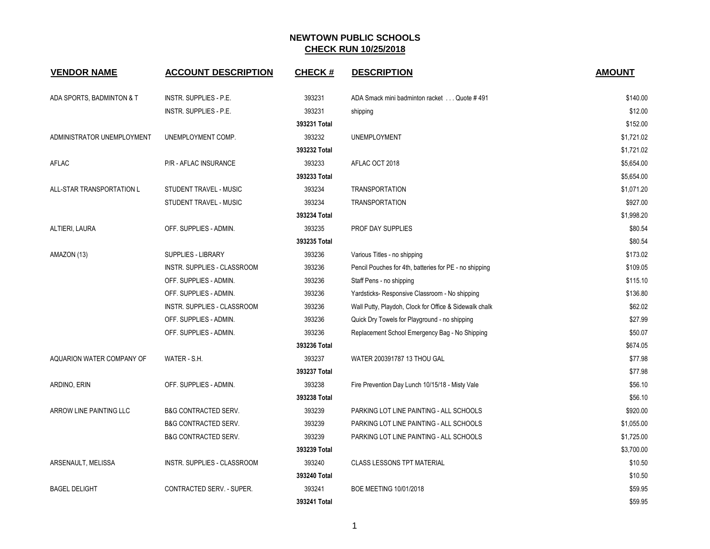| <b>VENDOR NAME</b>             | <b>ACCOUNT DESCRIPTION</b>      | <b>CHECK#</b> | <b>DESCRIPTION</b>                                     | <b>AMOUNT</b> |
|--------------------------------|---------------------------------|---------------|--------------------------------------------------------|---------------|
| ADA SPORTS, BADMINTON & T      | <b>INSTR. SUPPLIES - P.E.</b>   | 393231        | ADA Smack mini badminton racket Quote #491             | \$140.00      |
|                                | <b>INSTR. SUPPLIES - P.E.</b>   | 393231        | shipping                                               | \$12.00       |
|                                |                                 | 393231 Total  |                                                        | \$152.00      |
| ADMINISTRATOR UNEMPLOYMENT     | UNEMPLOYMENT COMP.              | 393232        | <b>UNEMPLOYMENT</b>                                    | \$1,721.02    |
|                                |                                 | 393232 Total  |                                                        | \$1,721.02    |
| AFLAC                          | P/R - AFLAC INSURANCE           | 393233        | AFLAC OCT 2018                                         | \$5,654.00    |
|                                |                                 | 393233 Total  |                                                        | \$5,654.00    |
| ALL-STAR TRANSPORTATION L      | STUDENT TRAVEL - MUSIC          | 393234        | <b>TRANSPORTATION</b>                                  | \$1,071.20    |
|                                | STUDENT TRAVEL - MUSIC          | 393234        | <b>TRANSPORTATION</b>                                  | \$927.00      |
|                                |                                 | 393234 Total  |                                                        | \$1,998.20    |
| ALTIERI, LAURA                 | OFF. SUPPLIES - ADMIN.          | 393235        | PROF DAY SUPPLIES                                      | \$80.54       |
|                                |                                 | 393235 Total  |                                                        | \$80.54       |
| AMAZON (13)                    | SUPPLIES - LIBRARY              | 393236        | Various Titles - no shipping                           | \$173.02      |
|                                | INSTR. SUPPLIES - CLASSROOM     | 393236        | Pencil Pouches for 4th, batteries for PE - no shipping | \$109.05      |
|                                | OFF. SUPPLIES - ADMIN.          | 393236        | Staff Pens - no shipping                               | \$115.10      |
|                                | OFF. SUPPLIES - ADMIN.          | 393236        | Yardsticks-Responsive Classroom - No shipping          | \$136.80      |
|                                | INSTR. SUPPLIES - CLASSROOM     | 393236        | Wall Putty, Playdoh, Clock for Office & Sidewalk chalk | \$62.02       |
|                                | OFF. SUPPLIES - ADMIN.          | 393236        | Quick Dry Towels for Playground - no shipping          | \$27.99       |
|                                | OFF. SUPPLIES - ADMIN.          | 393236        | Replacement School Emergency Bag - No Shipping         | \$50.07       |
|                                |                                 | 393236 Total  |                                                        | \$674.05      |
| AQUARION WATER COMPANY OF      | WATER - S.H.                    | 393237        | WATER 200391787 13 THOU GAL                            | \$77.98       |
|                                |                                 | 393237 Total  |                                                        | \$77.98       |
| ARDINO, ERIN                   | OFF. SUPPLIES - ADMIN.          | 393238        | Fire Prevention Day Lunch 10/15/18 - Misty Vale        | \$56.10       |
|                                |                                 | 393238 Total  |                                                        | \$56.10       |
| <b>ARROW LINE PAINTING LLC</b> | <b>B&amp;G CONTRACTED SERV.</b> | 393239        | PARKING LOT LINE PAINTING - ALL SCHOOLS                | \$920.00      |
|                                | <b>B&amp;G CONTRACTED SERV.</b> | 393239        | PARKING LOT LINE PAINTING - ALL SCHOOLS                | \$1,055.00    |
|                                | <b>B&amp;G CONTRACTED SERV.</b> | 393239        | PARKING LOT LINE PAINTING - ALL SCHOOLS                | \$1,725.00    |
|                                |                                 | 393239 Total  |                                                        | \$3,700.00    |
| ARSENAULT, MELISSA             | INSTR. SUPPLIES - CLASSROOM     | 393240        | <b>CLASS LESSONS TPT MATERIAL</b>                      | \$10.50       |
|                                |                                 | 393240 Total  |                                                        | \$10.50       |
| <b>BAGEL DELIGHT</b>           | CONTRACTED SERV. - SUPER.       | 393241        | BOE MEETING 10/01/2018                                 | \$59.95       |
|                                |                                 | 393241 Total  |                                                        | \$59.95       |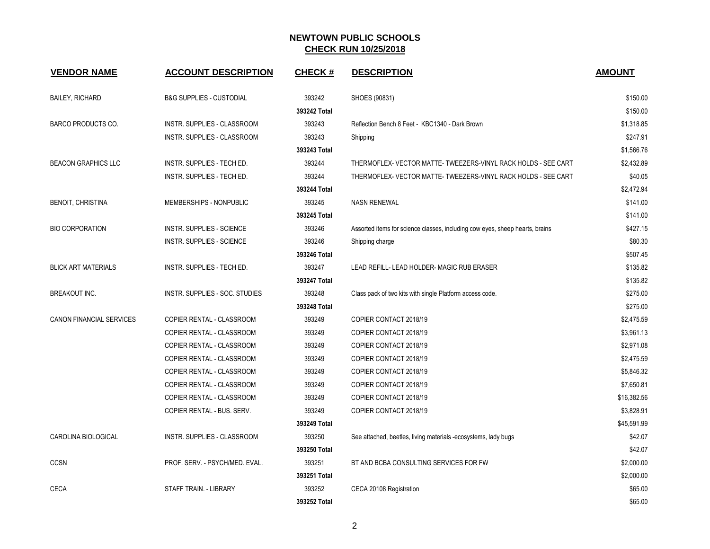| <b>VENDOR NAME</b>         | <b>ACCOUNT DESCRIPTION</b>          | <b>CHECK#</b> | <b>DESCRIPTION</b>                                                           | <b>AMOUNT</b> |
|----------------------------|-------------------------------------|---------------|------------------------------------------------------------------------------|---------------|
| <b>BAILEY, RICHARD</b>     | <b>B&amp;G SUPPLIES - CUSTODIAL</b> | 393242        | SHOES (90831)                                                                | \$150.00      |
|                            |                                     | 393242 Total  |                                                                              | \$150.00      |
| <b>BARCO PRODUCTS CO.</b>  | INSTR. SUPPLIES - CLASSROOM         | 393243        | Reflection Bench 8 Feet - KBC1340 - Dark Brown                               | \$1,318.85    |
|                            | INSTR. SUPPLIES - CLASSROOM         | 393243        | Shipping                                                                     | \$247.91      |
|                            |                                     | 393243 Total  |                                                                              | \$1,566.76    |
| <b>BEACON GRAPHICS LLC</b> | INSTR. SUPPLIES - TECH ED.          | 393244        | THERMOFLEX- VECTOR MATTE- TWEEZERS-VINYL RACK HOLDS - SEE CART               | \$2,432.89    |
|                            | INSTR. SUPPLIES - TECH ED.          | 393244        | THERMOFLEX- VECTOR MATTE- TWEEZERS-VINYL RACK HOLDS - SEE CART               | \$40.05       |
|                            |                                     | 393244 Total  |                                                                              | \$2,472.94    |
| <b>BENOIT, CHRISTINA</b>   | MEMBERSHIPS - NONPUBLIC             | 393245        | <b>NASN RENEWAL</b>                                                          | \$141.00      |
|                            |                                     | 393245 Total  |                                                                              | \$141.00      |
| <b>BIO CORPORATION</b>     | INSTR. SUPPLIES - SCIENCE           | 393246        | Assorted items for science classes, including cow eyes, sheep hearts, brains | \$427.15      |
|                            | <b>INSTR. SUPPLIES - SCIENCE</b>    | 393246        | Shipping charge                                                              | \$80.30       |
|                            |                                     | 393246 Total  |                                                                              | \$507.45      |
| <b>BLICK ART MATERIALS</b> | INSTR. SUPPLIES - TECH ED.          | 393247        | LEAD REFILL- LEAD HOLDER- MAGIC RUB ERASER                                   | \$135.82      |
|                            |                                     | 393247 Total  |                                                                              | \$135.82      |
| <b>BREAKOUT INC.</b>       | INSTR. SUPPLIES - SOC. STUDIES      | 393248        | Class pack of two kits with single Platform access code.                     | \$275.00      |
|                            |                                     | 393248 Total  |                                                                              | \$275.00      |
| CANON FINANCIAL SERVICES   | COPIER RENTAL - CLASSROOM           | 393249        | COPIER CONTACT 2018/19                                                       | \$2,475.59    |
|                            | COPIER RENTAL - CLASSROOM           | 393249        | COPIER CONTACT 2018/19                                                       | \$3,961.13    |
|                            | COPIER RENTAL - CLASSROOM           | 393249        | COPIER CONTACT 2018/19                                                       | \$2,971.08    |
|                            | COPIER RENTAL - CLASSROOM           | 393249        | COPIER CONTACT 2018/19                                                       | \$2,475.59    |
|                            | COPIER RENTAL - CLASSROOM           | 393249        | COPIER CONTACT 2018/19                                                       | \$5,846.32    |
|                            | COPIER RENTAL - CLASSROOM           | 393249        | COPIER CONTACT 2018/19                                                       | \$7,650.81    |
|                            | COPIER RENTAL - CLASSROOM           | 393249        | COPIER CONTACT 2018/19                                                       | \$16,382.56   |
|                            | COPIER RENTAL - BUS. SERV.          | 393249        | COPIER CONTACT 2018/19                                                       | \$3,828.91    |
|                            |                                     | 393249 Total  |                                                                              | \$45,591.99   |
| CAROLINA BIOLOGICAL        | INSTR. SUPPLIES - CLASSROOM         | 393250        | See attached, beetles, living materials -ecosystems, lady bugs               | \$42.07       |
|                            |                                     | 393250 Total  |                                                                              | \$42.07       |
| <b>CCSN</b>                | PROF. SERV. - PSYCH/MED. EVAL.      | 393251        | BT AND BCBA CONSULTING SERVICES FOR FW                                       | \$2,000.00    |
|                            |                                     | 393251 Total  |                                                                              | \$2,000.00    |
| <b>CECA</b>                | STAFF TRAIN. - LIBRARY              | 393252        | CECA 20108 Registration                                                      | \$65.00       |
|                            |                                     | 393252 Total  |                                                                              | \$65.00       |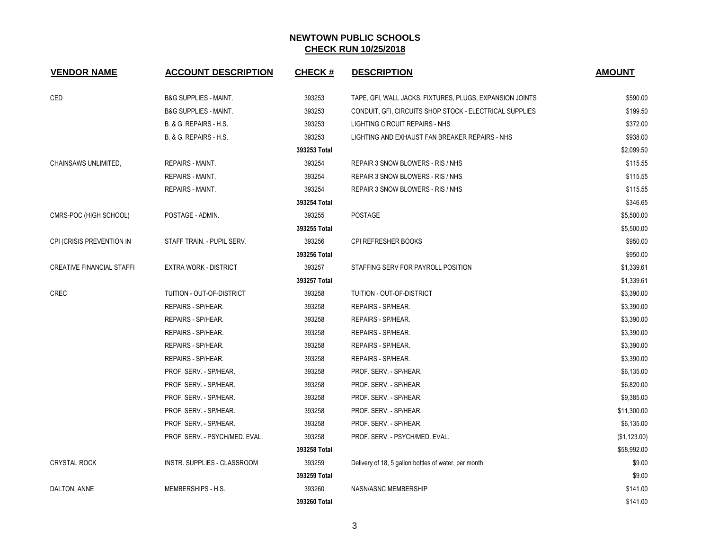| <b>VENDOR NAME</b>               | <b>ACCOUNT DESCRIPTION</b>       | <b>CHECK#</b> | <b>DESCRIPTION</b>                                       | <b>AMOUNT</b> |
|----------------------------------|----------------------------------|---------------|----------------------------------------------------------|---------------|
| CED                              | <b>B&amp;G SUPPLIES - MAINT.</b> | 393253        | TAPE, GFI, WALL JACKS, FIXTURES, PLUGS, EXPANSION JOINTS | \$590.00      |
|                                  | <b>B&amp;G SUPPLIES - MAINT.</b> | 393253        | CONDUIT, GFI, CIRCUITS SHOP STOCK - ELECTRICAL SUPPLIES  | \$199.50      |
|                                  | B. & G. REPAIRS - H.S.           | 393253        | LIGHTING CIRCUIT REPAIRS - NHS                           | \$372.00      |
|                                  | B. & G. REPAIRS - H.S.           | 393253        | LIGHTING AND EXHAUST FAN BREAKER REPAIRS - NHS           | \$938.00      |
|                                  |                                  | 393253 Total  |                                                          | \$2,099.50    |
| CHAINSAWS UNLIMITED,             | REPAIRS - MAINT.                 | 393254        | REPAIR 3 SNOW BLOWERS - RIS / NHS                        | \$115.55      |
|                                  | <b>REPAIRS - MAINT.</b>          | 393254        | REPAIR 3 SNOW BLOWERS - RIS / NHS                        | \$115.55      |
|                                  | REPAIRS - MAINT.                 | 393254        | REPAIR 3 SNOW BLOWERS - RIS / NHS                        | \$115.55      |
|                                  |                                  | 393254 Total  |                                                          | \$346.65      |
| CMRS-POC (HIGH SCHOOL)           | POSTAGE - ADMIN.                 | 393255        | <b>POSTAGE</b>                                           | \$5,500.00    |
|                                  |                                  | 393255 Total  |                                                          | \$5,500.00    |
| CPI (CRISIS PREVENTION IN        | STAFF TRAIN. - PUPIL SERV.       | 393256        | CPI REFRESHER BOOKS                                      | \$950.00      |
|                                  |                                  | 393256 Total  |                                                          | \$950.00      |
| <b>CREATIVE FINANCIAL STAFFI</b> | <b>EXTRA WORK - DISTRICT</b>     | 393257        | STAFFING SERV FOR PAYROLL POSITION                       | \$1,339.61    |
|                                  |                                  | 393257 Total  |                                                          | \$1,339.61    |
| <b>CREC</b>                      | TUITION - OUT-OF-DISTRICT        | 393258        | TUITION - OUT-OF-DISTRICT                                | \$3,390.00    |
|                                  | REPAIRS - SP/HEAR.               | 393258        | REPAIRS - SP/HEAR.                                       | \$3,390.00    |
|                                  | REPAIRS - SP/HEAR.               | 393258        | REPAIRS - SP/HEAR.                                       | \$3,390.00    |
|                                  | REPAIRS - SP/HEAR.               | 393258        | REPAIRS - SP/HEAR.                                       | \$3,390.00    |
|                                  | REPAIRS - SP/HEAR.               | 393258        | REPAIRS - SP/HEAR.                                       | \$3,390.00    |
|                                  | REPAIRS - SP/HEAR.               | 393258        | REPAIRS - SP/HEAR.                                       | \$3,390.00    |
|                                  | PROF. SERV. - SP/HEAR.           | 393258        | PROF. SERV. - SP/HEAR.                                   | \$6,135.00    |
|                                  | PROF. SERV. - SP/HEAR.           | 393258        | PROF. SERV. - SP/HEAR.                                   | \$6,820.00    |
|                                  | PROF. SERV. - SP/HEAR.           | 393258        | PROF. SERV. - SP/HEAR.                                   | \$9,385.00    |
|                                  | PROF. SERV. - SP/HEAR.           | 393258        | PROF. SERV. - SP/HEAR.                                   | \$11,300.00   |
|                                  | PROF. SERV. - SP/HEAR.           | 393258        | PROF. SERV. - SP/HEAR.                                   | \$6,135.00    |
|                                  | PROF. SERV. - PSYCH/MED. EVAL.   | 393258        | PROF. SERV. - PSYCH/MED. EVAL.                           | (\$1,123.00)  |
|                                  |                                  | 393258 Total  |                                                          | \$58,992.00   |
| <b>CRYSTAL ROCK</b>              | INSTR. SUPPLIES - CLASSROOM      | 393259        | Delivery of 18, 5 gallon bottles of water, per month     | \$9.00        |
|                                  |                                  | 393259 Total  |                                                          | \$9.00        |
| DALTON, ANNE                     | MEMBERSHIPS - H.S.               | 393260        | NASN/ASNC MEMBERSHIP                                     | \$141.00      |
|                                  |                                  | 393260 Total  |                                                          | \$141.00      |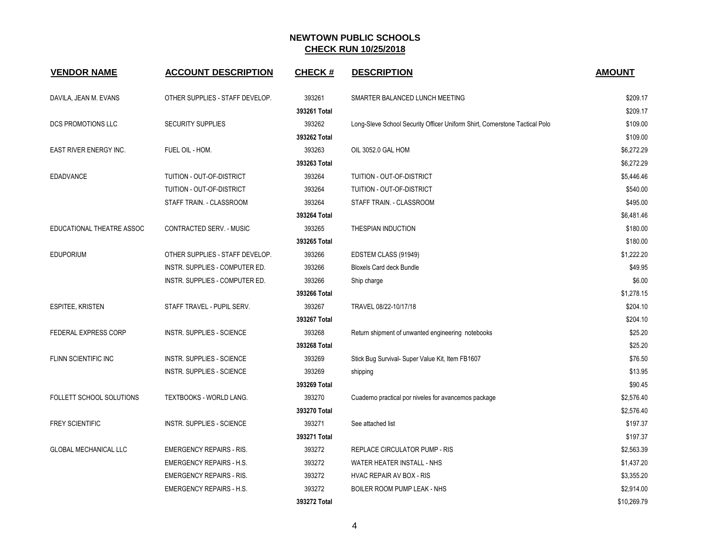| <b>VENDOR NAME</b>           | <b>ACCOUNT DESCRIPTION</b>       | <b>CHECK#</b> | <b>DESCRIPTION</b>                                                          | <b>AMOUNT</b> |
|------------------------------|----------------------------------|---------------|-----------------------------------------------------------------------------|---------------|
| DAVILA, JEAN M. EVANS        | OTHER SUPPLIES - STAFF DEVELOP.  | 393261        | SMARTER BALANCED LUNCH MEETING                                              | \$209.17      |
|                              |                                  | 393261 Total  |                                                                             | \$209.17      |
| DCS PROMOTIONS LLC           | <b>SECURITY SUPPLIES</b>         | 393262        | Long-Sleve School Security Officer Uniform Shirt, Cornerstone Tactical Polo | \$109.00      |
|                              |                                  | 393262 Total  |                                                                             | \$109.00      |
| EAST RIVER ENERGY INC.       | FUEL OIL - HOM.                  | 393263        | OIL 3052.0 GAL HOM                                                          | \$6,272.29    |
|                              |                                  | 393263 Total  |                                                                             | \$6,272.29    |
| <b>EDADVANCE</b>             | TUITION - OUT-OF-DISTRICT        | 393264        | TUITION - OUT-OF-DISTRICT                                                   | \$5,446.46    |
|                              | TUITION - OUT-OF-DISTRICT        | 393264        | TUITION - OUT-OF-DISTRICT                                                   | \$540.00      |
|                              | STAFF TRAIN. - CLASSROOM         | 393264        | STAFF TRAIN. - CLASSROOM                                                    | \$495.00      |
|                              |                                  | 393264 Total  |                                                                             | \$6,481.46    |
| EDUCATIONAL THEATRE ASSOC    | CONTRACTED SERV. - MUSIC         | 393265        | THESPIAN INDUCTION                                                          | \$180.00      |
|                              |                                  | 393265 Total  |                                                                             | \$180.00      |
| <b>EDUPORIUM</b>             | OTHER SUPPLIES - STAFF DEVELOP.  | 393266        | EDSTEM CLASS (91949)                                                        | \$1,222.20    |
|                              | INSTR. SUPPLIES - COMPUTER ED.   | 393266        | <b>Bloxels Card deck Bundle</b>                                             | \$49.95       |
|                              | INSTR. SUPPLIES - COMPUTER ED.   | 393266        | Ship charge                                                                 | \$6.00        |
|                              |                                  | 393266 Total  |                                                                             | \$1,278.15    |
| <b>ESPITEE, KRISTEN</b>      | STAFF TRAVEL - PUPIL SERV.       | 393267        | TRAVEL 08/22-10/17/18                                                       | \$204.10      |
|                              |                                  | 393267 Total  |                                                                             | \$204.10      |
| FEDERAL EXPRESS CORP         | <b>INSTR. SUPPLIES - SCIENCE</b> | 393268        | Return shipment of unwanted engineering notebooks                           | \$25.20       |
|                              |                                  | 393268 Total  |                                                                             | \$25.20       |
| <b>FLINN SCIENTIFIC INC</b>  | <b>INSTR. SUPPLIES - SCIENCE</b> | 393269        | Stick Bug Survival- Super Value Kit, Item FB1607                            | \$76.50       |
|                              | INSTR. SUPPLIES - SCIENCE        | 393269        | shipping                                                                    | \$13.95       |
|                              |                                  | 393269 Total  |                                                                             | \$90.45       |
| FOLLETT SCHOOL SOLUTIONS     | TEXTBOOKS - WORLD LANG.          | 393270        | Cuaderno practical por niveles for avancemos package                        | \$2,576.40    |
|                              |                                  | 393270 Total  |                                                                             | \$2,576.40    |
| <b>FREY SCIENTIFIC</b>       | <b>INSTR. SUPPLIES - SCIENCE</b> | 393271        | See attached list                                                           | \$197.37      |
|                              |                                  | 393271 Total  |                                                                             | \$197.37      |
| <b>GLOBAL MECHANICAL LLC</b> | <b>EMERGENCY REPAIRS - RIS.</b>  | 393272        | REPLACE CIRCULATOR PUMP - RIS                                               | \$2,563.39    |
|                              | <b>EMERGENCY REPAIRS - H.S.</b>  | 393272        | WATER HEATER INSTALL - NHS                                                  | \$1,437.20    |
|                              | <b>EMERGENCY REPAIRS - RIS.</b>  | 393272        | HVAC REPAIR AV BOX - RIS                                                    | \$3,355.20    |
|                              | <b>EMERGENCY REPAIRS - H.S.</b>  | 393272        | BOILER ROOM PUMP LEAK - NHS                                                 | \$2,914.00    |
|                              |                                  | 393272 Total  |                                                                             | \$10,269.79   |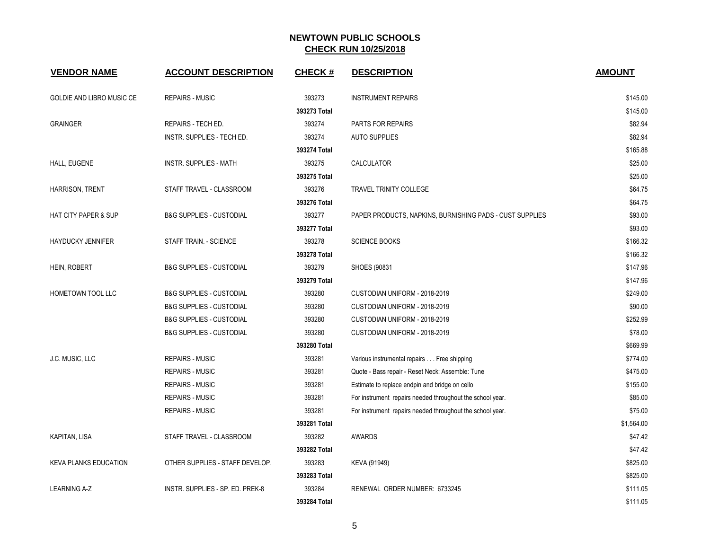| <b>VENDOR NAME</b>               | <b>ACCOUNT DESCRIPTION</b>          | <b>CHECK#</b> | <b>DESCRIPTION</b>                                        | <b>AMOUNT</b> |
|----------------------------------|-------------------------------------|---------------|-----------------------------------------------------------|---------------|
| <b>GOLDIE AND LIBRO MUSIC CE</b> | <b>REPAIRS - MUSIC</b>              | 393273        | <b>INSTRUMENT REPAIRS</b>                                 | \$145.00      |
|                                  |                                     | 393273 Total  |                                                           | \$145.00      |
| <b>GRAINGER</b>                  | REPAIRS - TECH ED.                  | 393274        | PARTS FOR REPAIRS                                         | \$82.94       |
|                                  | INSTR. SUPPLIES - TECH ED.          | 393274        | <b>AUTO SUPPLIES</b>                                      | \$82.94       |
|                                  |                                     | 393274 Total  |                                                           | \$165.88      |
| HALL, EUGENE                     | <b>INSTR. SUPPLIES - MATH</b>       | 393275        | <b>CALCULATOR</b>                                         | \$25.00       |
|                                  |                                     | 393275 Total  |                                                           | \$25.00       |
| <b>HARRISON, TRENT</b>           | STAFF TRAVEL - CLASSROOM            | 393276        | TRAVEL TRINITY COLLEGE                                    | \$64.75       |
|                                  |                                     | 393276 Total  |                                                           | \$64.75       |
| <b>HAT CITY PAPER &amp; SUP</b>  | <b>B&amp;G SUPPLIES - CUSTODIAL</b> | 393277        | PAPER PRODUCTS, NAPKINS, BURNISHING PADS - CUST SUPPLIES  | \$93.00       |
|                                  |                                     | 393277 Total  |                                                           | \$93.00       |
| <b>HAYDUCKY JENNIFER</b>         | STAFF TRAIN. - SCIENCE              | 393278        | <b>SCIENCE BOOKS</b>                                      | \$166.32      |
|                                  |                                     | 393278 Total  |                                                           | \$166.32      |
| HEIN, ROBERT                     | <b>B&amp;G SUPPLIES - CUSTODIAL</b> | 393279        | SHOES (90831                                              | \$147.96      |
|                                  |                                     | 393279 Total  |                                                           | \$147.96      |
| HOMETOWN TOOL LLC                | <b>B&amp;G SUPPLIES - CUSTODIAL</b> | 393280        | CUSTODIAN UNIFORM - 2018-2019                             | \$249.00      |
|                                  | <b>B&amp;G SUPPLIES - CUSTODIAL</b> | 393280        | CUSTODIAN UNIFORM - 2018-2019                             | \$90.00       |
|                                  | <b>B&amp;G SUPPLIES - CUSTODIAL</b> | 393280        | CUSTODIAN UNIFORM - 2018-2019                             | \$252.99      |
|                                  | <b>B&amp;G SUPPLIES - CUSTODIAL</b> | 393280        | CUSTODIAN UNIFORM - 2018-2019                             | \$78.00       |
|                                  |                                     | 393280 Total  |                                                           | \$669.99      |
| J.C. MUSIC, LLC                  | <b>REPAIRS - MUSIC</b>              | 393281        | Various instrumental repairs Free shipping                | \$774.00      |
|                                  | <b>REPAIRS - MUSIC</b>              | 393281        | Quote - Bass repair - Reset Neck: Assemble: Tune          | \$475.00      |
|                                  | <b>REPAIRS - MUSIC</b>              | 393281        | Estimate to replace endpin and bridge on cello            | \$155.00      |
|                                  | <b>REPAIRS - MUSIC</b>              | 393281        | For instrument repairs needed throughout the school year. | \$85.00       |
|                                  | <b>REPAIRS - MUSIC</b>              | 393281        | For instrument repairs needed throughout the school year. | \$75.00       |
|                                  |                                     | 393281 Total  |                                                           | \$1,564.00    |
| <b>KAPITAN, LISA</b>             | STAFF TRAVEL - CLASSROOM            | 393282        | <b>AWARDS</b>                                             | \$47.42       |
|                                  |                                     | 393282 Total  |                                                           | \$47.42       |
| <b>KEVA PLANKS EDUCATION</b>     | OTHER SUPPLIES - STAFF DEVELOP.     | 393283        | KEVA (91949)                                              | \$825.00      |
|                                  |                                     | 393283 Total  |                                                           | \$825.00      |
| <b>LEARNING A-Z</b>              | INSTR. SUPPLIES - SP. ED. PREK-8    | 393284        | RENEWAL ORDER NUMBER: 6733245                             | \$111.05      |
|                                  |                                     | 393284 Total  |                                                           | \$111.05      |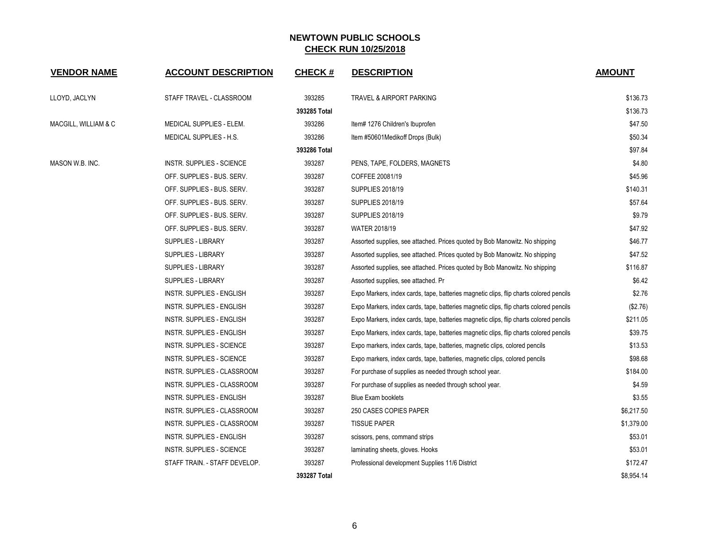| <b>VENDOR NAME</b>   | <b>ACCOUNT DESCRIPTION</b>    | CHECK #      | <b>DESCRIPTION</b>                                                                     | <b>AMOUNT</b> |
|----------------------|-------------------------------|--------------|----------------------------------------------------------------------------------------|---------------|
| LLOYD, JACLYN        | STAFF TRAVEL - CLASSROOM      | 393285       | <b>TRAVEL &amp; AIRPORT PARKING</b>                                                    | \$136.73      |
|                      |                               | 393285 Total |                                                                                        | \$136.73      |
| MACGILL, WILLIAM & C | MEDICAL SUPPLIES - ELEM.      | 393286       | Item# 1276 Children's Ibuprofen                                                        | \$47.50       |
|                      | MEDICAL SUPPLIES - H.S.       | 393286       | Item #50601Medikoff Drops (Bulk)                                                       | \$50.34       |
|                      |                               | 393286 Total |                                                                                        | \$97.84       |
| MASON W.B. INC.      | INSTR. SUPPLIES - SCIENCE     | 393287       | PENS, TAPE, FOLDERS, MAGNETS                                                           | \$4.80        |
|                      | OFF. SUPPLIES - BUS. SERV.    | 393287       | COFFEE 20081/19                                                                        | \$45.96       |
|                      | OFF. SUPPLIES - BUS. SERV.    | 393287       | <b>SUPPLIES 2018/19</b>                                                                | \$140.31      |
|                      | OFF. SUPPLIES - BUS. SERV.    | 393287       | <b>SUPPLIES 2018/19</b>                                                                | \$57.64       |
|                      | OFF. SUPPLIES - BUS. SERV.    | 393287       | <b>SUPPLIES 2018/19</b>                                                                | \$9.79        |
|                      | OFF. SUPPLIES - BUS. SERV.    | 393287       | <b>WATER 2018/19</b>                                                                   | \$47.92       |
|                      | SUPPLIES - LIBRARY            | 393287       | Assorted supplies, see attached. Prices quoted by Bob Manowitz. No shipping            | \$46.77       |
|                      | SUPPLIES - LIBRARY            | 393287       | Assorted supplies, see attached. Prices quoted by Bob Manowitz. No shipping            | \$47.52       |
|                      | SUPPLIES - LIBRARY            | 393287       | Assorted supplies, see attached. Prices quoted by Bob Manowitz. No shipping            | \$116.87      |
|                      | SUPPLIES - LIBRARY            | 393287       | Assorted supplies, see attached. Pr                                                    | \$6.42        |
|                      | INSTR. SUPPLIES - ENGLISH     | 393287       | Expo Markers, index cards, tape, batteries magnetic clips, flip charts colored pencils | \$2.76        |
|                      | INSTR. SUPPLIES - ENGLISH     | 393287       | Expo Markers, index cards, tape, batteries magnetic clips, flip charts colored pencils | (\$2.76)      |
|                      | INSTR. SUPPLIES - ENGLISH     | 393287       | Expo Markers, index cards, tape, batteries magnetic clips, flip charts colored pencils | \$211.05      |
|                      | INSTR. SUPPLIES - ENGLISH     | 393287       | Expo Markers, index cards, tape, batteries magnetic clips, flip charts colored pencils | \$39.75       |
|                      | INSTR. SUPPLIES - SCIENCE     | 393287       | Expo markers, index cards, tape, batteries, magnetic clips, colored pencils            | \$13.53       |
|                      | INSTR. SUPPLIES - SCIENCE     | 393287       | Expo markers, index cards, tape, batteries, magnetic clips, colored pencils            | \$98.68       |
|                      | INSTR. SUPPLIES - CLASSROOM   | 393287       | For purchase of supplies as needed through school year.                                | \$184.00      |
|                      | INSTR. SUPPLIES - CLASSROOM   | 393287       | For purchase of supplies as needed through school year.                                | \$4.59        |
|                      | INSTR. SUPPLIES - ENGLISH     | 393287       | <b>Blue Exam booklets</b>                                                              | \$3.55        |
|                      | INSTR. SUPPLIES - CLASSROOM   | 393287       | 250 CASES COPIES PAPER                                                                 | \$6,217.50    |
|                      | INSTR. SUPPLIES - CLASSROOM   | 393287       | <b>TISSUE PAPER</b>                                                                    | \$1,379.00    |
|                      | INSTR. SUPPLIES - ENGLISH     | 393287       | scissors, pens, command strips                                                         | \$53.01       |
|                      | INSTR. SUPPLIES - SCIENCE     | 393287       | laminating sheets, gloves. Hooks                                                       | \$53.01       |
|                      | STAFF TRAIN. - STAFF DEVELOP. | 393287       | Professional development Supplies 11/6 District                                        | \$172.47      |
|                      |                               | 393287 Total |                                                                                        | \$8.954.14    |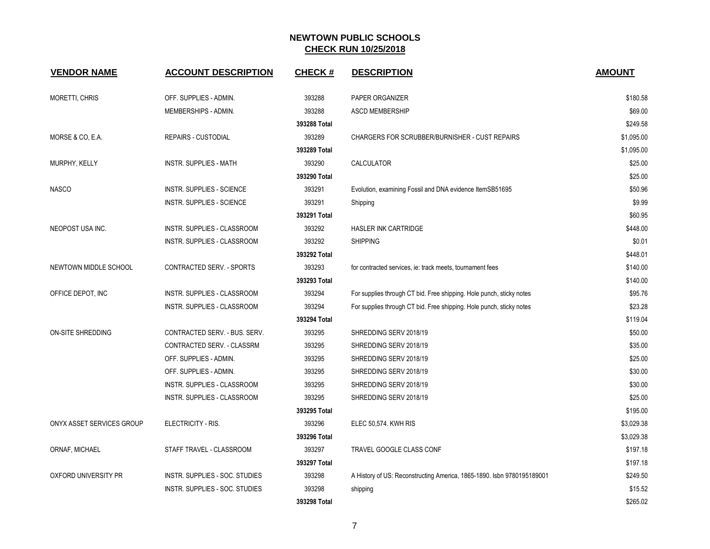| <b>VENDOR NAME</b>        | <b>ACCOUNT DESCRIPTION</b>       | <b>CHECK#</b> | <b>DESCRIPTION</b>                                                     | <b>AMOUNT</b> |
|---------------------------|----------------------------------|---------------|------------------------------------------------------------------------|---------------|
| <b>MORETTI, CHRIS</b>     | OFF. SUPPLIES - ADMIN.           | 393288        | PAPER ORGANIZER                                                        | \$180.58      |
|                           | MEMBERSHIPS - ADMIN.             | 393288        | <b>ASCD MEMBERSHIP</b>                                                 | \$69.00       |
|                           |                                  | 393288 Total  |                                                                        | \$249.58      |
| MORSE & CO, E.A.          | <b>REPAIRS - CUSTODIAL</b>       | 393289        | CHARGERS FOR SCRUBBER/BURNISHER - CUST REPAIRS                         | \$1,095.00    |
|                           |                                  | 393289 Total  |                                                                        | \$1,095.00    |
| MURPHY, KELLY             | <b>INSTR. SUPPLIES - MATH</b>    | 393290        | CALCULATOR                                                             | \$25.00       |
|                           |                                  | 393290 Total  |                                                                        | \$25.00       |
| <b>NASCO</b>              | <b>INSTR. SUPPLIES - SCIENCE</b> | 393291        | Evolution, examining Fossil and DNA evidence ItemSB51695               | \$50.96       |
|                           | INSTR. SUPPLIES - SCIENCE        | 393291        | Shipping                                                               | \$9.99        |
|                           |                                  | 393291 Total  |                                                                        | \$60.95       |
| NEOPOST USA INC.          | INSTR. SUPPLIES - CLASSROOM      | 393292        | HASLER INK CARTRIDGE                                                   | \$448.00      |
|                           | INSTR. SUPPLIES - CLASSROOM      | 393292        | <b>SHIPPING</b>                                                        | \$0.01        |
|                           |                                  | 393292 Total  |                                                                        | \$448.01      |
| NEWTOWN MIDDLE SCHOOL     | <b>CONTRACTED SERV. - SPORTS</b> | 393293        | for contracted services, ie: track meets, tournament fees              | \$140.00      |
|                           |                                  | 393293 Total  |                                                                        | \$140.00      |
| OFFICE DEPOT, INC         | INSTR. SUPPLIES - CLASSROOM      | 393294        | For supplies through CT bid. Free shipping. Hole punch, sticky notes   | \$95.76       |
|                           | INSTR. SUPPLIES - CLASSROOM      | 393294        | For supplies through CT bid. Free shipping. Hole punch, sticky notes   | \$23.28       |
|                           |                                  | 393294 Total  |                                                                        | \$119.04      |
| <b>ON-SITE SHREDDING</b>  | CONTRACTED SERV. - BUS. SERV.    | 393295        | SHREDDING SERV 2018/19                                                 | \$50.00       |
|                           | CONTRACTED SERV. - CLASSRM       | 393295        | SHREDDING SERV 2018/19                                                 | \$35.00       |
|                           | OFF. SUPPLIES - ADMIN.           | 393295        | SHREDDING SERV 2018/19                                                 | \$25.00       |
|                           | OFF. SUPPLIES - ADMIN.           | 393295        | SHREDDING SERV 2018/19                                                 | \$30.00       |
|                           | INSTR. SUPPLIES - CLASSROOM      | 393295        | SHREDDING SERV 2018/19                                                 | \$30.00       |
|                           | INSTR. SUPPLIES - CLASSROOM      | 393295        | SHREDDING SERV 2018/19                                                 | \$25.00       |
|                           |                                  | 393295 Total  |                                                                        | \$195.00      |
| ONYX ASSET SERVICES GROUP | ELECTRICITY - RIS.               | 393296        | ELEC 50,574. KWH RIS                                                   | \$3,029.38    |
|                           |                                  | 393296 Total  |                                                                        | \$3,029.38    |
| ORNAF, MICHAEL            | STAFF TRAVEL - CLASSROOM         | 393297        | <b>TRAVEL GOOGLE CLASS CONF</b>                                        | \$197.18      |
|                           |                                  | 393297 Total  |                                                                        | \$197.18      |
| OXFORD UNIVERSITY PR      | INSTR. SUPPLIES - SOC. STUDIES   | 393298        | A History of US: Reconstructing America, 1865-1890. Isbn 9780195189001 | \$249.50      |
|                           | INSTR. SUPPLIES - SOC. STUDIES   | 393298        | shipping                                                               | \$15.52       |
|                           |                                  | 393298 Total  |                                                                        | \$265.02      |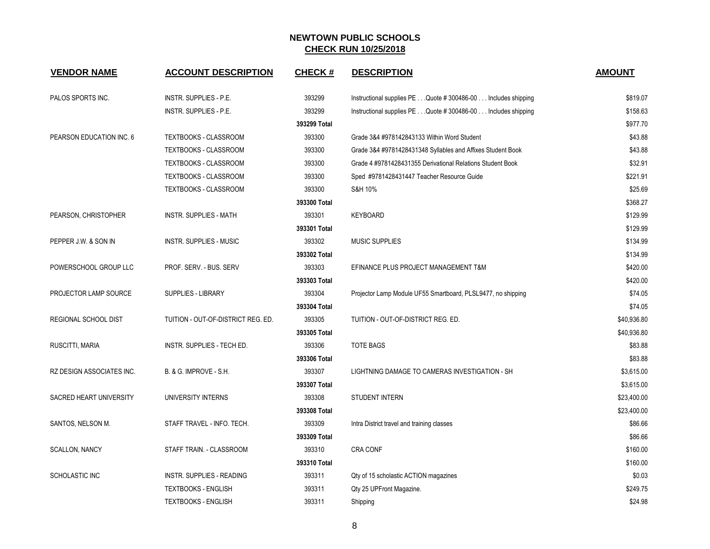| <b>VENDOR NAME</b>        | <b>ACCOUNT DESCRIPTION</b>         | <b>CHECK#</b> | <b>DESCRIPTION</b>                                            | <b>AMOUNT</b> |
|---------------------------|------------------------------------|---------------|---------------------------------------------------------------|---------------|
| PALOS SPORTS INC.         | INSTR. SUPPLIES - P.E.             | 393299        | Instructional supplies PE Quote # 300486-00 Includes shipping | \$819.07      |
|                           | INSTR. SUPPLIES - P.E.             | 393299        | Instructional supplies PE Quote # 300486-00 Includes shipping | \$158.63      |
|                           |                                    | 393299 Total  |                                                               | \$977.70      |
| PEARSON EDUCATION INC. 6  | <b>TEXTBOOKS - CLASSROOM</b>       | 393300        | Grade 3&4 #978142843133 Within Word Student                   | \$43.88       |
|                           | TEXTBOOKS - CLASSROOM              | 393300        | Grade 3&4 #9781428431348 Syllables and Affixes Student Book   | \$43.88       |
|                           | <b>TEXTBOOKS - CLASSROOM</b>       | 393300        | Grade 4 #9781428431355 Derivational Relations Student Book    | \$32.91       |
|                           | TEXTBOOKS - CLASSROOM              | 393300        | Sped #9781428431447 Teacher Resource Guide                    | \$221.91      |
|                           | TEXTBOOKS - CLASSROOM              | 393300        | S&H 10%                                                       | \$25.69       |
|                           |                                    | 393300 Total  |                                                               | \$368.27      |
| PEARSON, CHRISTOPHER      | <b>INSTR. SUPPLIES - MATH</b>      | 393301        | <b>KEYBOARD</b>                                               | \$129.99      |
|                           |                                    | 393301 Total  |                                                               | \$129.99      |
| PEPPER J.W. & SON IN      | <b>INSTR. SUPPLIES - MUSIC</b>     | 393302        | <b>MUSIC SUPPLIES</b>                                         | \$134.99      |
|                           |                                    | 393302 Total  |                                                               | \$134.99      |
| POWERSCHOOL GROUP LLC     | PROF. SERV. - BUS. SERV            | 393303        | EFINANCE PLUS PROJECT MANAGEMENT T&M                          | \$420.00      |
|                           |                                    | 393303 Total  |                                                               | \$420.00      |
| PROJECTOR LAMP SOURCE     | SUPPLIES - LIBRARY                 | 393304        | Projector Lamp Module UF55 Smartboard, PLSL9477, no shipping  | \$74.05       |
|                           |                                    | 393304 Total  |                                                               | \$74.05       |
| REGIONAL SCHOOL DIST      | TUITION - OUT-OF-DISTRICT REG. ED. | 393305        | TUITION - OUT-OF-DISTRICT REG. ED.                            | \$40,936.80   |
|                           |                                    | 393305 Total  |                                                               | \$40,936.80   |
| RUSCITTI, MARIA           | INSTR. SUPPLIES - TECH ED.         | 393306        | <b>TOTE BAGS</b>                                              | \$83.88       |
|                           |                                    | 393306 Total  |                                                               | \$83.88       |
| RZ DESIGN ASSOCIATES INC. | B. & G. IMPROVE - S.H.             | 393307        | LIGHTNING DAMAGE TO CAMERAS INVESTIGATION - SH                | \$3,615.00    |
|                           |                                    | 393307 Total  |                                                               | \$3,615.00    |
| SACRED HEART UNIVERSITY   | UNIVERSITY INTERNS                 | 393308        | <b>STUDENT INTERN</b>                                         | \$23,400.00   |
|                           |                                    | 393308 Total  |                                                               | \$23,400.00   |
| SANTOS, NELSON M.         | STAFF TRAVEL - INFO. TECH.         | 393309        | Intra District travel and training classes                    | \$86.66       |
|                           |                                    | 393309 Total  |                                                               | \$86.66       |
| <b>SCALLON, NANCY</b>     | STAFF TRAIN. - CLASSROOM           | 393310        | <b>CRA CONF</b>                                               | \$160.00      |
|                           |                                    | 393310 Total  |                                                               | \$160.00      |
| <b>SCHOLASTIC INC</b>     | <b>INSTR. SUPPLIES - READING</b>   | 393311        | Qty of 15 scholastic ACTION magazines                         | \$0.03        |
|                           | <b>TEXTBOOKS - ENGLISH</b>         | 393311        | Qty 25 UPFront Magazine.                                      | \$249.75      |
|                           | <b>TEXTBOOKS - ENGLISH</b>         | 393311        | Shipping                                                      | \$24.98       |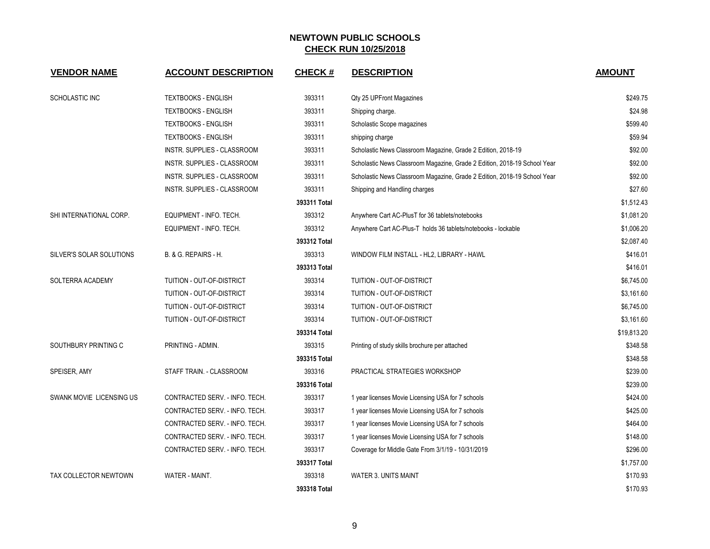| <b>VENDOR NAME</b>       | <b>ACCOUNT DESCRIPTION</b>     | <b>CHECK#</b> | <b>DESCRIPTION</b>                                                       | <b>AMOUNT</b> |
|--------------------------|--------------------------------|---------------|--------------------------------------------------------------------------|---------------|
| SCHOLASTIC INC           | <b>TEXTBOOKS - ENGLISH</b>     | 393311        | Qty 25 UPFront Magazines                                                 | \$249.75      |
|                          | <b>TEXTBOOKS - ENGLISH</b>     | 393311        | Shipping charge.                                                         | \$24.98       |
|                          | <b>TEXTBOOKS - ENGLISH</b>     | 393311        | Scholastic Scope magazines                                               | \$599.40      |
|                          | <b>TEXTBOOKS - ENGLISH</b>     | 393311        | shipping charge                                                          | \$59.94       |
|                          | INSTR. SUPPLIES - CLASSROOM    | 393311        | Scholastic News Classroom Magazine, Grade 2 Edition, 2018-19             | \$92.00       |
|                          | INSTR. SUPPLIES - CLASSROOM    | 393311        | Scholastic News Classroom Magazine, Grade 2 Edition, 2018-19 School Year | \$92.00       |
|                          | INSTR. SUPPLIES - CLASSROOM    | 393311        | Scholastic News Classroom Magazine, Grade 2 Edition, 2018-19 School Year | \$92.00       |
|                          | INSTR. SUPPLIES - CLASSROOM    | 393311        | Shipping and Handling charges                                            | \$27.60       |
|                          |                                | 393311 Total  |                                                                          | \$1,512.43    |
| SHI INTERNATIONAL CORP.  | EQUIPMENT - INFO. TECH.        | 393312        | Anywhere Cart AC-PlusT for 36 tablets/notebooks                          | \$1,081.20    |
|                          | EQUIPMENT - INFO. TECH.        | 393312        | Anywhere Cart AC-Plus-T holds 36 tablets/notebooks - lockable            | \$1,006.20    |
|                          |                                | 393312 Total  |                                                                          | \$2,087.40    |
| SILVER'S SOLAR SOLUTIONS | B. & G. REPAIRS - H.           | 393313        | WINDOW FILM INSTALL - HL2, LIBRARY - HAWL                                | \$416.01      |
|                          |                                | 393313 Total  |                                                                          | \$416.01      |
| SOLTERRA ACADEMY         | TUITION - OUT-OF-DISTRICT      | 393314        | TUITION - OUT-OF-DISTRICT                                                | \$6,745.00    |
|                          | TUITION - OUT-OF-DISTRICT      | 393314        | TUITION - OUT-OF-DISTRICT                                                | \$3,161.60    |
|                          | TUITION - OUT-OF-DISTRICT      | 393314        | TUITION - OUT-OF-DISTRICT                                                | \$6,745.00    |
|                          | TUITION - OUT-OF-DISTRICT      | 393314        | TUITION - OUT-OF-DISTRICT                                                | \$3,161.60    |
|                          |                                | 393314 Total  |                                                                          | \$19,813.20   |
| SOUTHBURY PRINTING C     | PRINTING - ADMIN.              | 393315        | Printing of study skills brochure per attached                           | \$348.58      |
|                          |                                | 393315 Total  |                                                                          | \$348.58      |
| SPEISER, AMY             | STAFF TRAIN. - CLASSROOM       | 393316        | PRACTICAL STRATEGIES WORKSHOP                                            | \$239.00      |
|                          |                                | 393316 Total  |                                                                          | \$239.00      |
| SWANK MOVIE LICENSING US | CONTRACTED SERV. - INFO. TECH. | 393317        | 1 year licenses Movie Licensing USA for 7 schools                        | \$424.00      |
|                          | CONTRACTED SERV. - INFO. TECH. | 393317        | 1 year licenses Movie Licensing USA for 7 schools                        | \$425.00      |
|                          | CONTRACTED SERV. - INFO. TECH. | 393317        | 1 year licenses Movie Licensing USA for 7 schools                        | \$464.00      |
|                          | CONTRACTED SERV. - INFO. TECH. | 393317        | 1 year licenses Movie Licensing USA for 7 schools                        | \$148.00      |
|                          | CONTRACTED SERV. - INFO. TECH. | 393317        | Coverage for Middle Gate From 3/1/19 - 10/31/2019                        | \$296.00      |
|                          |                                | 393317 Total  |                                                                          | \$1,757.00    |
| TAX COLLECTOR NEWTOWN    | WATER - MAINT.                 | 393318        | <b>WATER 3. UNITS MAINT</b>                                              | \$170.93      |
|                          |                                | 393318 Total  |                                                                          | \$170.93      |